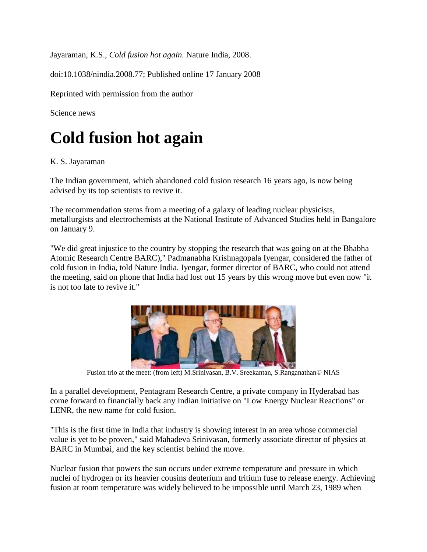Jayaraman, K.S., *Cold fusion hot again.* Nature India, 2008.

doi:10.1038/nindia.2008.77; Published online 17 January 2008

Reprinted with permission from the author

Science news

## **Cold fusion hot again**

## K. S. Jayaraman

The Indian government, which abandoned cold fusion research 16 years ago, is now being advised by its top scientists to revive it.

The recommendation stems from a meeting of a galaxy of leading nuclear physicists, metallurgists and electrochemists at the National Institute of Advanced Studies held in Bangalore on January 9.

"We did great injustice to the country by stopping the research that was going on at the Bhabha Atomic Research Centre BARC)," Padmanabha Krishnagopala Iyengar, considered the father of cold fusion in India, told Nature India. Iyengar, former director of BARC, who could not attend the meeting, said on phone that India had lost out 15 years by this wrong move but even now "it is not too late to revive it."



Fusion trio at the meet: (from left) M.Srinivasan, B.V. Sreekantan, S.Ranganathan© NIAS

In a parallel development, Pentagram Research Centre, a private company in Hyderabad has come forward to financially back any Indian initiative on "Low Energy Nuclear Reactions" or LENR, the new name for cold fusion.

"This is the first time in India that industry is showing interest in an area whose commercial value is yet to be proven," said Mahadeva Srinivasan, formerly associate director of physics at BARC in Mumbai, and the key scientist behind the move.

Nuclear fusion that powers the sun occurs under extreme temperature and pressure in which nuclei of hydrogen or its heavier cousins deuterium and tritium fuse to release energy. Achieving fusion at room temperature was widely believed to be impossible until March 23, 1989 when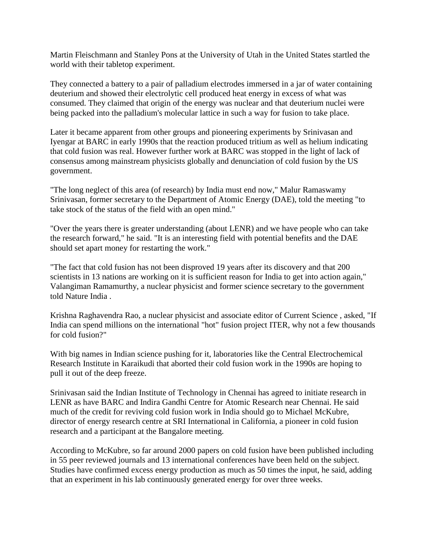Martin Fleischmann and Stanley Pons at the University of Utah in the United States startled the world with their tabletop experiment.

They connected a battery to a pair of palladium electrodes immersed in a jar of water containing deuterium and showed their electrolytic cell produced heat energy in excess of what was consumed. They claimed that origin of the energy was nuclear and that deuterium nuclei were being packed into the palladium's molecular lattice in such a way for fusion to take place.

Later it became apparent from other groups and pioneering experiments by Srinivasan and Iyengar at BARC in early 1990s that the reaction produced tritium as well as helium indicating that cold fusion was real. However further work at BARC was stopped in the light of lack of consensus among mainstream physicists globally and denunciation of cold fusion by the US government.

"The long neglect of this area (of research) by India must end now," Malur Ramaswamy Srinivasan, former secretary to the Department of Atomic Energy (DAE), told the meeting "to take stock of the status of the field with an open mind."

"Over the years there is greater understanding (about LENR) and we have people who can take the research forward," he said. "It is an interesting field with potential benefits and the DAE should set apart money for restarting the work."

"The fact that cold fusion has not been disproved 19 years after its discovery and that 200 scientists in 13 nations are working on it is sufficient reason for India to get into action again," Valangiman Ramamurthy, a nuclear physicist and former science secretary to the government told Nature India .

Krishna Raghavendra Rao, a nuclear physicist and associate editor of Current Science , asked, "If India can spend millions on the international "hot" fusion project ITER, why not a few thousands for cold fusion?"

With big names in Indian science pushing for it, laboratories like the Central Electrochemical Research Institute in Karaikudi that aborted their cold fusion work in the 1990s are hoping to pull it out of the deep freeze.

Srinivasan said the Indian Institute of Technology in Chennai has agreed to initiate research in LENR as have BARC and Indira Gandhi Centre for Atomic Research near Chennai. He said much of the credit for reviving cold fusion work in India should go to Michael McKubre, director of energy research centre at SRI International in California, a pioneer in cold fusion research and a participant at the Bangalore meeting.

According to McKubre, so far around 2000 papers on cold fusion have been published including in 55 peer reviewed journals and 13 international conferences have been held on the subject. Studies have confirmed excess energy production as much as 50 times the input, he said, adding that an experiment in his lab continuously generated energy for over three weeks.